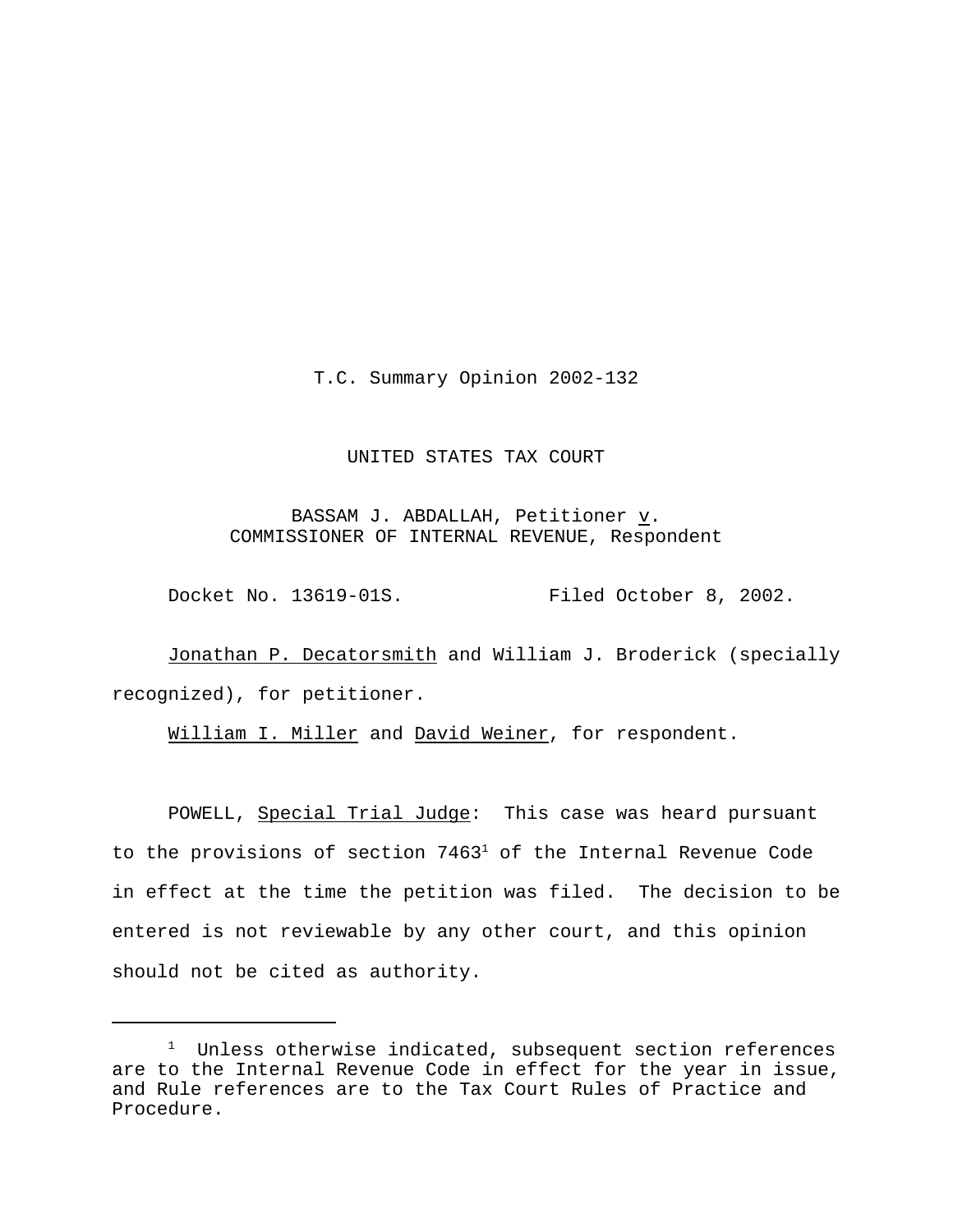T.C. Summary Opinion 2002-132

## UNITED STATES TAX COURT

BASSAM J. ABDALLAH, Petitioner  $\underline{v}$ . COMMISSIONER OF INTERNAL REVENUE, Respondent

Docket No. 13619-01S. Filed October 8, 2002.

Jonathan P. Decatorsmith and William J. Broderick (specially recognized), for petitioner.

William I. Miller and David Weiner, for respondent.

POWELL, Special Trial Judge: This case was heard pursuant to the provisions of section  $7463<sup>1</sup>$  of the Internal Revenue Code in effect at the time the petition was filed. The decision to be entered is not reviewable by any other court, and this opinion should not be cited as authority.

 $1$  Unless otherwise indicated, subsequent section references are to the Internal Revenue Code in effect for the year in issue, and Rule references are to the Tax Court Rules of Practice and Procedure.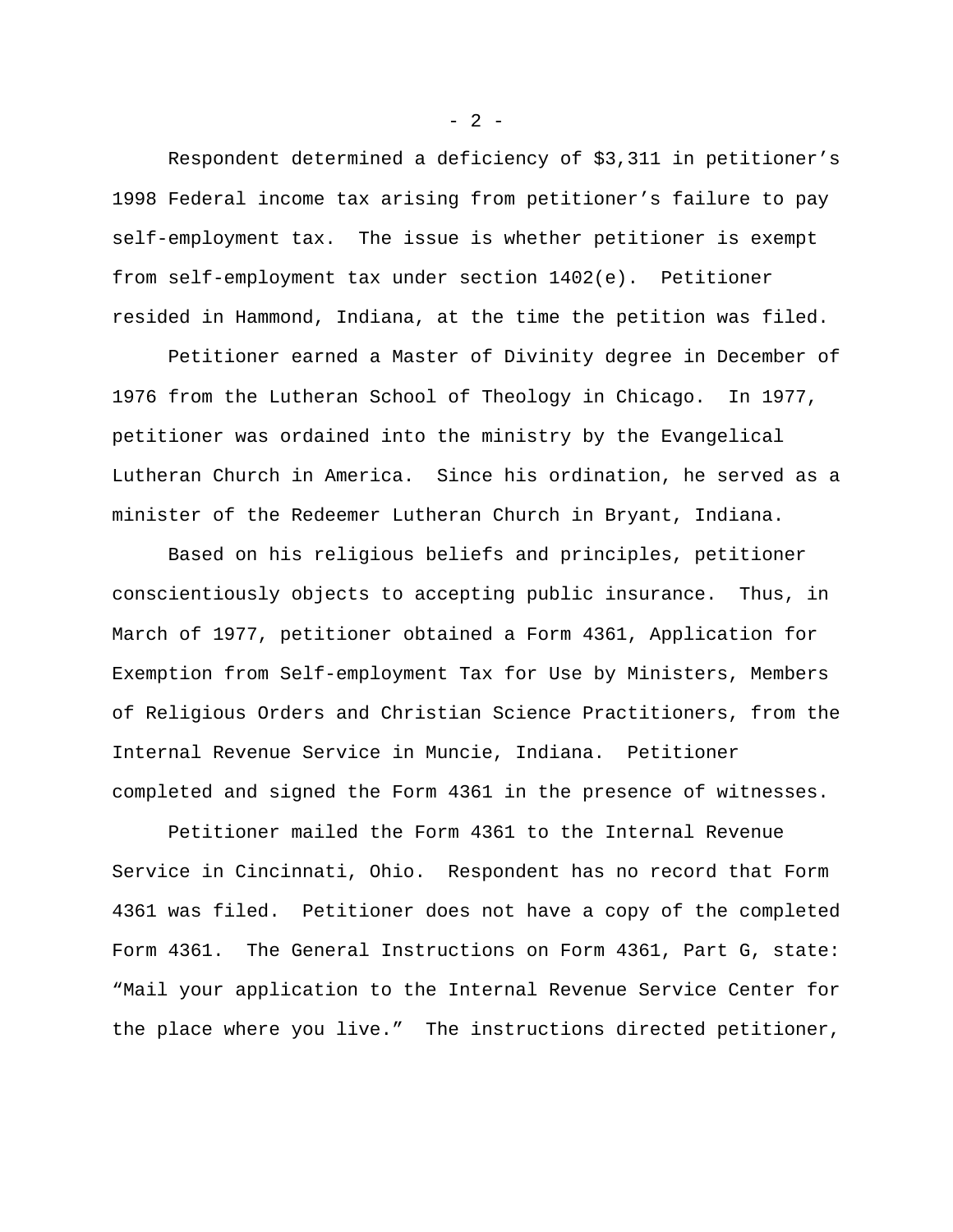Respondent determined a deficiency of \$3,311 in petitioner's 1998 Federal income tax arising from petitioner's failure to pay self-employment tax. The issue is whether petitioner is exempt from self-employment tax under section 1402(e). Petitioner resided in Hammond, Indiana, at the time the petition was filed.

Petitioner earned a Master of Divinity degree in December of 1976 from the Lutheran School of Theology in Chicago. In 1977, petitioner was ordained into the ministry by the Evangelical Lutheran Church in America. Since his ordination, he served as a minister of the Redeemer Lutheran Church in Bryant, Indiana.

Based on his religious beliefs and principles, petitioner conscientiously objects to accepting public insurance. Thus, in March of 1977, petitioner obtained a Form 4361, Application for Exemption from Self-employment Tax for Use by Ministers, Members of Religious Orders and Christian Science Practitioners, from the Internal Revenue Service in Muncie, Indiana. Petitioner completed and signed the Form 4361 in the presence of witnesses.

Petitioner mailed the Form 4361 to the Internal Revenue Service in Cincinnati, Ohio. Respondent has no record that Form 4361 was filed. Petitioner does not have a copy of the completed Form 4361. The General Instructions on Form 4361, Part G, state: "Mail your application to the Internal Revenue Service Center for the place where you live." The instructions directed petitioner,

 $- 2 -$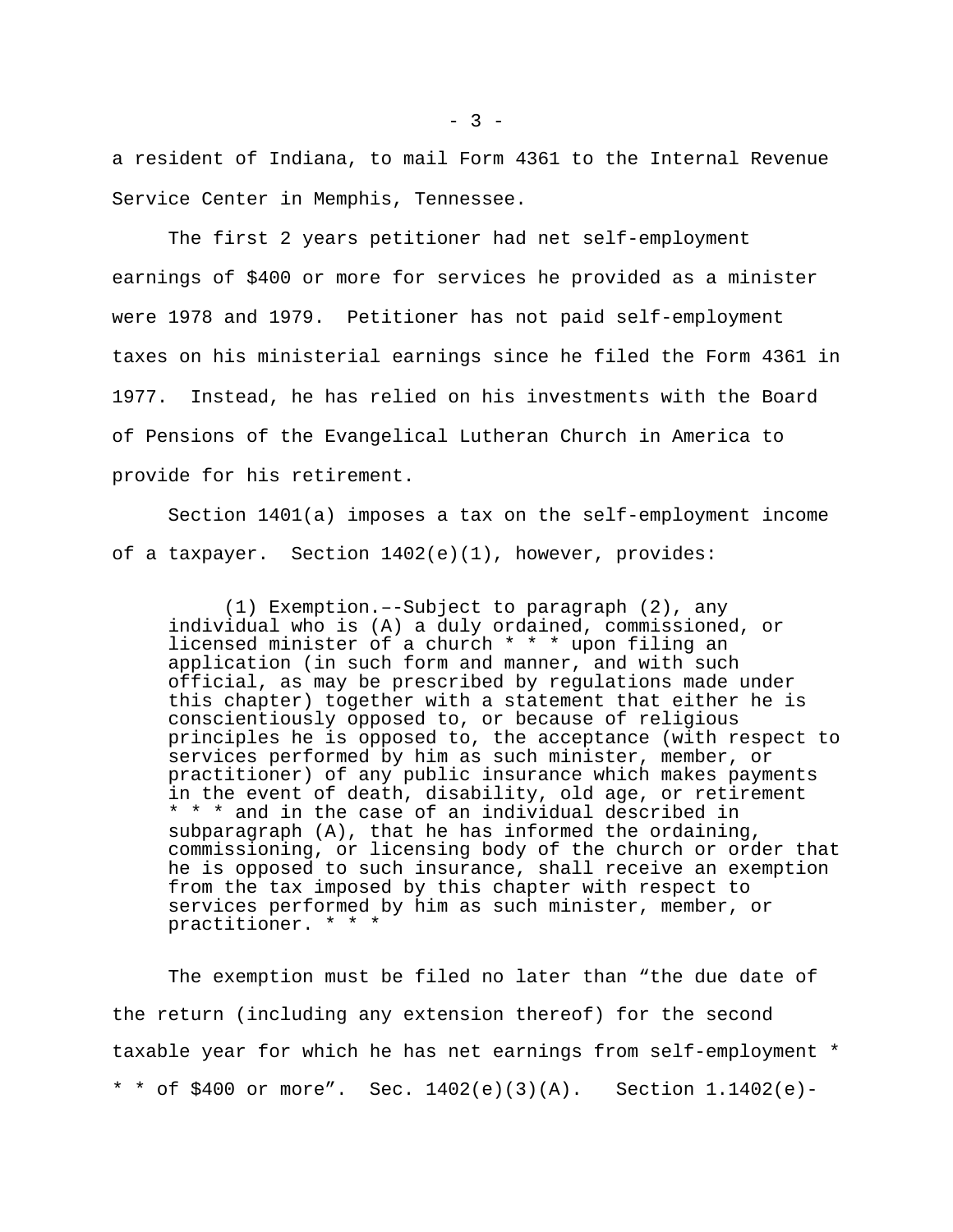a resident of Indiana, to mail Form 4361 to the Internal Revenue Service Center in Memphis, Tennessee.

The first 2 years petitioner had net self-employment earnings of \$400 or more for services he provided as a minister were 1978 and 1979. Petitioner has not paid self-employment taxes on his ministerial earnings since he filed the Form 4361 in 1977. Instead, he has relied on his investments with the Board of Pensions of the Evangelical Lutheran Church in America to provide for his retirement.

Section 1401(a) imposes a tax on the self-employment income of a taxpayer. Section  $1402(e)(1)$ , however, provides:

(1) Exemption.–-Subject to paragraph (2), any individual who is (A) a duly ordained, commissioned, or licensed minister of a church \* \* \* upon filing an application (in such form and manner, and with such official, as may be prescribed by regulations made under this chapter) together with a statement that either he is conscientiously opposed to, or because of religious principles he is opposed to, the acceptance (with respect to services performed by him as such minister, member, or practitioner) of any public insurance which makes payments in the event of death, disability, old age, or retirement \* \* \* and in the case of an individual described in subparagraph (A), that he has informed the ordaining, commissioning, or licensing body of the church or order that he is opposed to such insurance, shall receive an exemption from the tax imposed by this chapter with respect to services performed by him as such minister, member, or practitioner. \* \* \*

The exemption must be filed no later than "the due date of the return (including any extension thereof) for the second taxable year for which he has net earnings from self-employment \* \* \* of \$400 or more". Sec. 1402(e)(3)(A). Section 1.1402(e)-

 $- 3 -$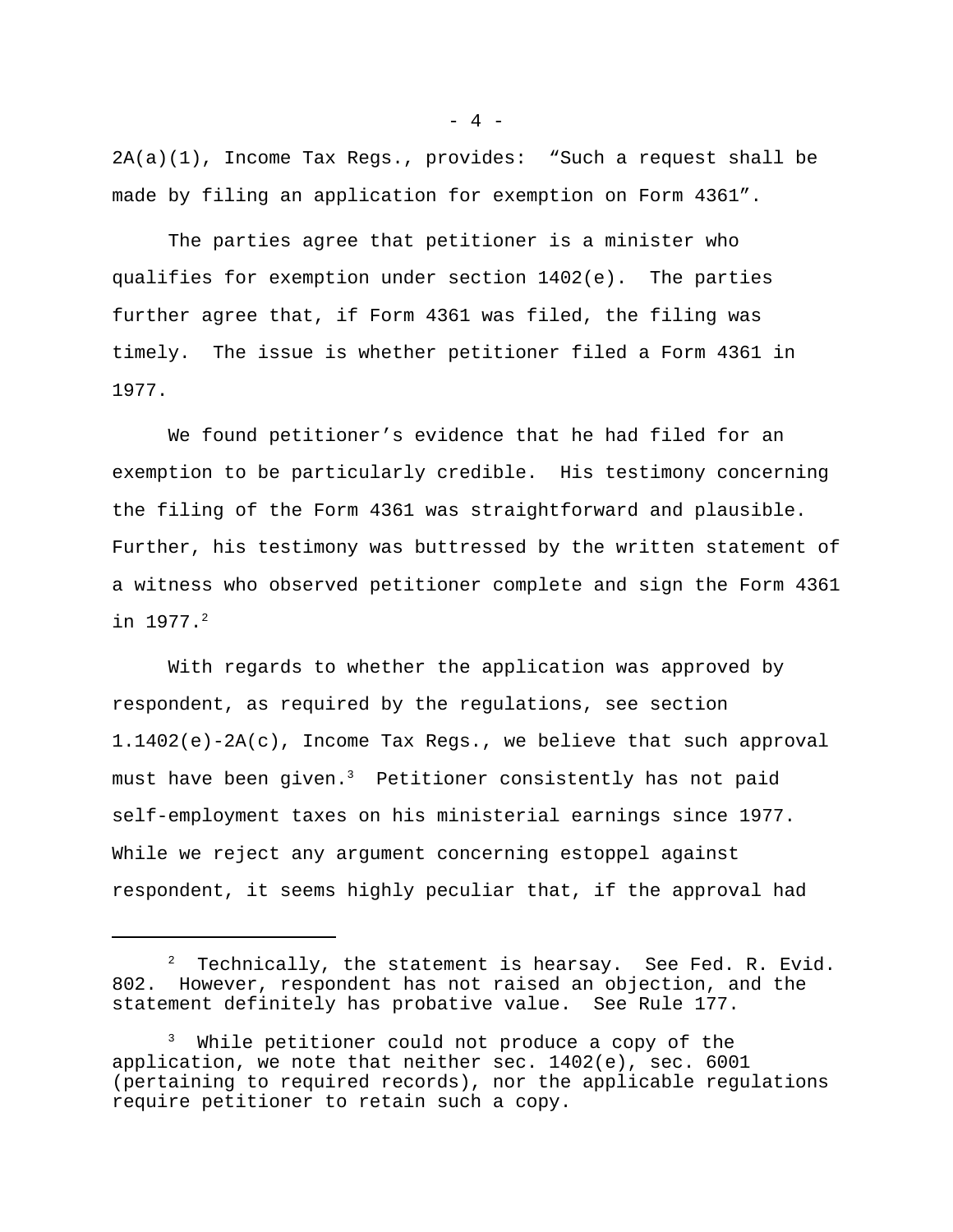2A(a)(1), Income Tax Regs., provides: "Such a request shall be made by filing an application for exemption on Form 4361".

The parties agree that petitioner is a minister who qualifies for exemption under section 1402(e). The parties further agree that, if Form 4361 was filed, the filing was timely. The issue is whether petitioner filed a Form 4361 in 1977.

We found petitioner's evidence that he had filed for an exemption to be particularly credible. His testimony concerning the filing of the Form 4361 was straightforward and plausible. Further, his testimony was buttressed by the written statement of a witness who observed petitioner complete and sign the Form 4361 in 1977.<sup>2</sup>

With regards to whether the application was approved by respondent, as required by the regulations, see section 1.1402(e)-2A(c), Income Tax Regs., we believe that such approval must have been given.<sup>3</sup> Petitioner consistently has not paid self-employment taxes on his ministerial earnings since 1977. While we reject any argument concerning estoppel against respondent, it seems highly peculiar that, if the approval had

 $- 4 -$ 

 $2$  Technically, the statement is hearsay. See Fed. R. Evid. 802. However, respondent has not raised an objection, and the statement definitely has probative value. See Rule 177.

<sup>&</sup>lt;sup>3</sup> While petitioner could not produce a copy of the application, we note that neither sec. 1402(e), sec. 6001 (pertaining to required records), nor the applicable regulations require petitioner to retain such a copy.